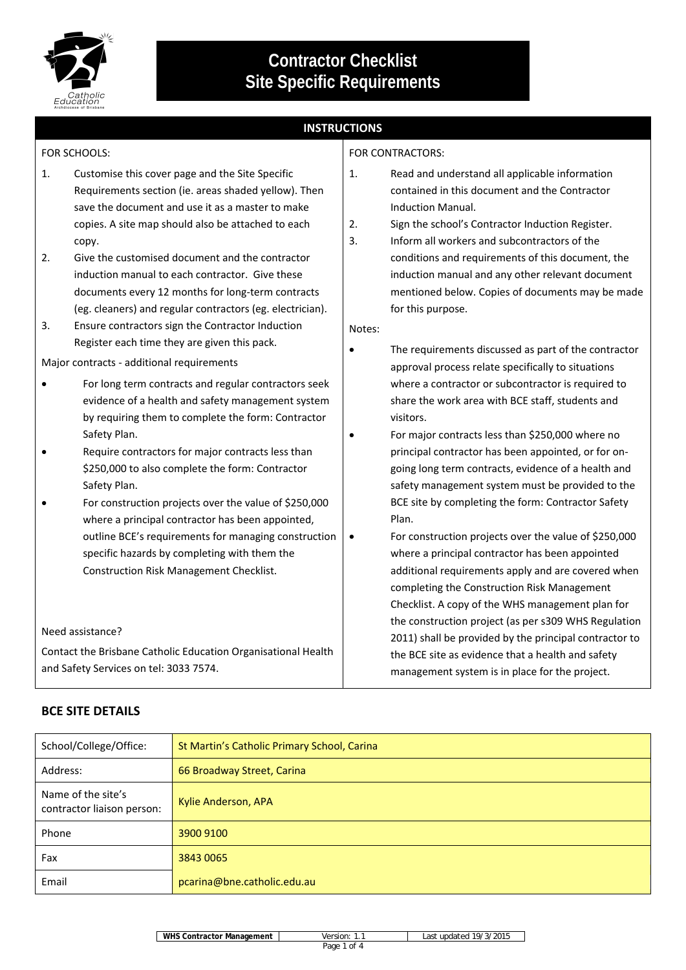

**Contractor Checklist Site Specific Requirements**

# **INSTRUCTIONS**

FOR CONTRACTORS:

## FOR SCHOOLS:

- 1. Customise this cover page and the Site Specific Requirements section (ie. areas shaded yellow). Then save the document and use it as a master to make copies. A site map should also be attached to each copy.
- 2. Give the customised document and the contractor induction manual to each contractor. Give these documents every 12 months for long‐term contracts (eg. cleaners) and regular contractors (eg. electrician).
- 3. Ensure contractors sign the Contractor Induction Register each time they are given this pack.

Major contracts - additional requirements

- For long term contracts and regular contractors seek evidence of a health and safety management system by requiring them to complete the form: Contractor Safety Plan.
- Require contractors for major contracts less than \$250,000 to also complete the form: Contractor Safety Plan.
- For construction projects over the value of \$250,000 where a principal contractor has been appointed, outline BCE's requirements for managing construction specific hazards by completing with them the Construction Risk Management Checklist.

#### Need assistance?

Contact the Brisbane Catholic Education Organisational Health and Safety Services on tel: 3033 7574.

# **BCE SITE DETAILS**

| 1. | Read and understand all applicable information |  |
|----|------------------------------------------------|--|
|    | contained in this document and the Contractor  |  |
|    | Induction Manual.                              |  |

- 2. Sign the school's Contractor Induction Register.
- 3. Inform all workers and subcontractors of the conditions and requirements of this document, the induction manual and any other relevant document mentioned below. Copies of documents may be made for this purpose.

Notes:

- The requirements discussed as part of the contractor approval process relate specifically to situations where a contractor or subcontractor is required to share the work area with BCE staff, students and visitors.
- For major contracts less than \$250,000 where no principal contractor has been appointed, or for on‐ going long term contracts, evidence of a health and safety management system must be provided to the BCE site by completing the form: Contractor Safety Plan.
- For construction projects over the value of \$250,000 where a principal contractor has been appointed additional requirements apply and are covered when completing the Construction Risk Management Checklist. A copy of the WHS management plan for the construction project (as per s309 WHS Regulation 2011) shall be provided by the principal contractor to the BCE site as evidence that a health and safety management system is in place for the project.

| School/College/Office:                           | St Martin's Catholic Primary School, Carina |
|--------------------------------------------------|---------------------------------------------|
| Address:                                         | 66 Broadway Street, Carina                  |
| Name of the site's<br>contractor liaison person: | Kylie Anderson, APA                         |
| Phone                                            | 3900 9100                                   |
| Fax                                              | 3843 0065                                   |
| Email                                            | pcarina@bne.catholic.edu.au                 |

**WHS Contractor Management** Version: 1.1 Last updated 19/3/2015

Page 1 of 4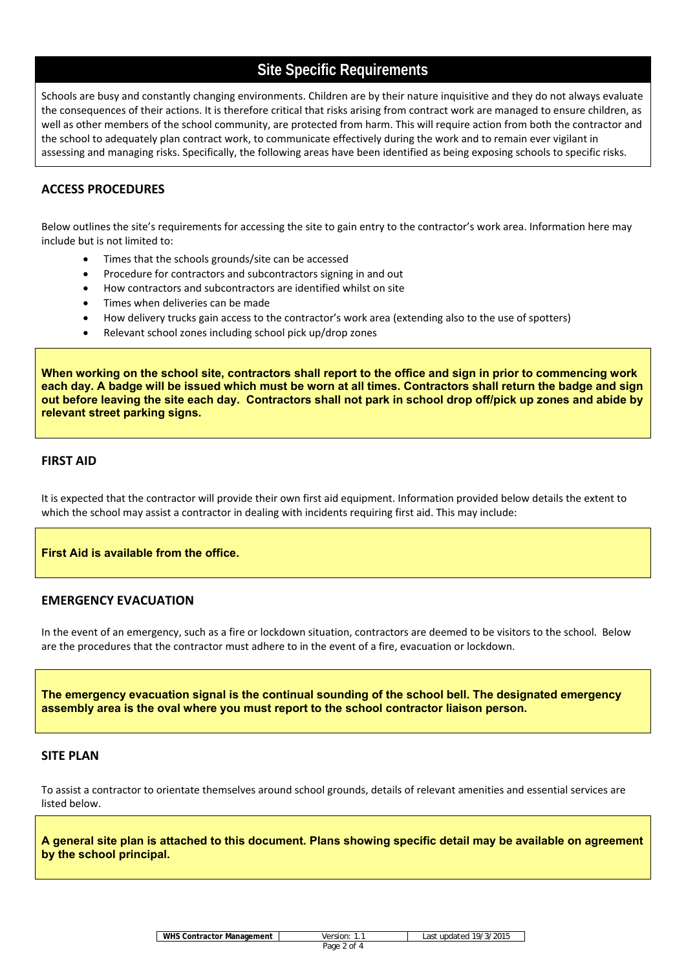# **Site Specific Requirements**

Schools are busy and constantly changing environments. Children are by their nature inquisitive and they do not always evaluate the consequences of their actions. It is therefore critical that risks arising from contract work are managed to ensure children, as well as other members of the school community, are protected from harm. This will require action from both the contractor and the school to adequately plan contract work, to communicate effectively during the work and to remain ever vigilant in assessing and managing risks. Specifically, the following areas have been identified as being exposing schools to specific risks.

# **ACCESS PROCEDURES**

Below outlines the site's requirements for accessing the site to gain entry to the contractor's work area. Information here may include but is not limited to:

- Times that the schools grounds/site can be accessed
- Procedure for contractors and subcontractors signing in and out
- How contractors and subcontractors are identified whilst on site
- Times when deliveries can be made
- How delivery trucks gain access to the contractor's work area (extending also to the use of spotters)
- Relevant school zones including school pick up/drop zones

**When working on the school site, contractors shall report to the office and sign in prior to commencing work each day. A badge will be issued which must be worn at all times. Contractors shall return the badge and sign out before leaving the site each day. Contractors shall not park in school drop off/pick up zones and abide by relevant street parking signs.**

#### **FIRST AID**

It is expected that the contractor will provide their own first aid equipment. Information provided below details the extent to which the school may assist a contractor in dealing with incidents requiring first aid. This may include:

#### **First Aid is available from the office.**

### **EMERGENCY EVACUATION**

In the event of an emergency, such as a fire or lockdown situation, contractors are deemed to be visitors to the school. Below are the procedures that the contractor must adhere to in the event of a fire, evacuation or lockdown.

**The emergency evacuation signal is the continual sounding of the school bell. The designated emergency assembly area is the oval where you must report to the school contractor liaison person.** 

#### **SITE PLAN**

To assist a contractor to orientate themselves around school grounds, details of relevant amenities and essential services are listed below.

**A general site plan is attached to this document. Plans showing specific detail may be available on agreement by the school principal.**

| WHS Contractor Management |  |
|---------------------------|--|
|---------------------------|--|

**Version: 1.1** Last updated 19/3/2015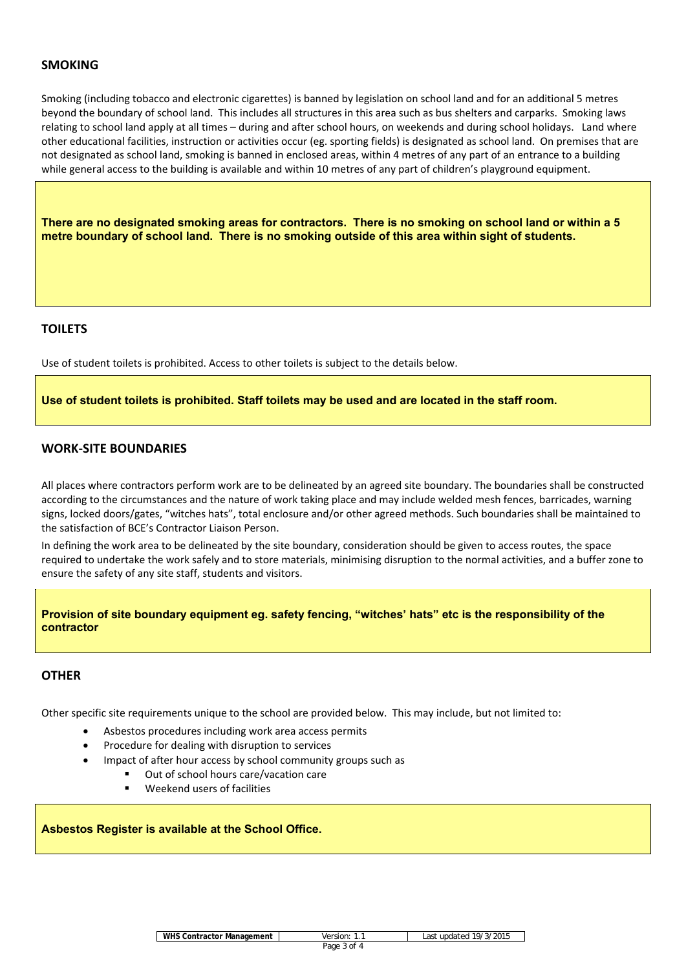# **SMOKING**

Smoking (including tobacco and electronic cigarettes) is banned by legislation on school land and for an additional 5 metres beyond the boundary of school land. This includes all structures in this area such as bus shelters and carparks. Smoking laws relating to school land apply at all times – during and after school hours, on weekends and during school holidays. Land where other educational facilities, instruction or activities occur (eg. sporting fields) is designated as school land. On premises that are not designated as school land, smoking is banned in enclosed areas, within 4 metres of any part of an entrance to a building while general access to the building is available and within 10 metres of any part of children's playground equipment.

**There are no designated smoking areas for contractors. There is no smoking on school land or within a 5 metre boundary of school land. There is no smoking outside of this area within sight of students.** 

## **TOILETS**

Use of student toilets is prohibited. Access to other toilets is subject to the details below.

**Use of student toilets is prohibited. Staff toilets may be used and are located in the staff room.** 

## **WORK‐SITE BOUNDARIES**

All places where contractors perform work are to be delineated by an agreed site boundary. The boundaries shall be constructed according to the circumstances and the nature of work taking place and may include welded mesh fences, barricades, warning signs, locked doors/gates, "witches hats", total enclosure and/or other agreed methods. Such boundaries shall be maintained to the satisfaction of BCE's Contractor Liaison Person.

In defining the work area to be delineated by the site boundary, consideration should be given to access routes, the space required to undertake the work safely and to store materials, minimising disruption to the normal activities, and a buffer zone to ensure the safety of any site staff, students and visitors.

**Provision of site boundary equipment eg. safety fencing, "witches' hats" etc is the responsibility of the contractor** 

## **OTHER**

Other specific site requirements unique to the school are provided below. This may include, but not limited to:

- Asbestos procedures including work area access permits
- Procedure for dealing with disruption to services
- Impact of after hour access by school community groups such as
	- Out of school hours care/vacation care
	- Weekend users of facilities

**Asbestos Register is available at the School Office.**